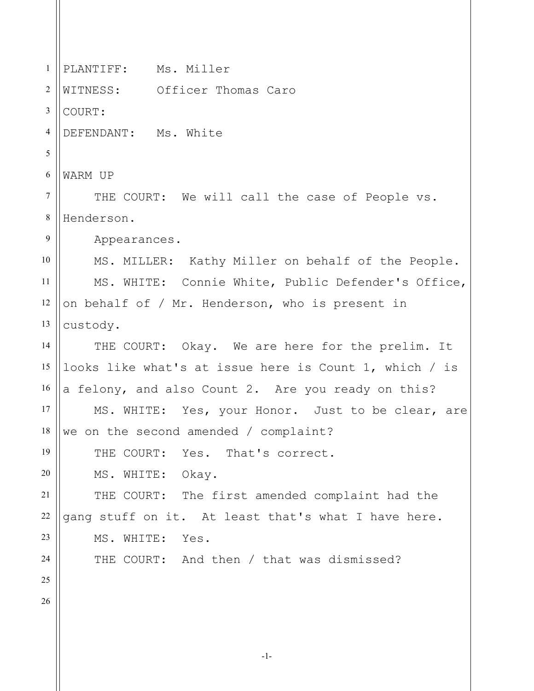1 2 3 4 5 6 7 8 9 10 11 12 13 14 15 16 17 18 19 20 21 22 23 24 25 26 PLANTIFF: Ms. Miller WITNESS: Officer Thomas Caro COURT: DEFENDANT: Ms. White WARM UP THE COURT: We will call the case of People vs. Henderson. Appearances. MS. MILLER: Kathy Miller on behalf of the People. MS. WHITE: Connie White, Public Defender's Office, on behalf of / Mr. Henderson, who is present in custody. THE COURT: Okay. We are here for the prelim. It looks like what's at issue here is Count 1, which / is a felony, and also Count 2. Are you ready on this? MS. WHITE: Yes, your Honor. Just to be clear, are we on the second amended / complaint? THE COURT: Yes. That's correct. MS. WHITE: Okay. THE COURT: The first amended complaint had the gang stuff on it. At least that's what I have here. MS. WHITE: Yes. THE COURT: And then / that was dismissed?

-1-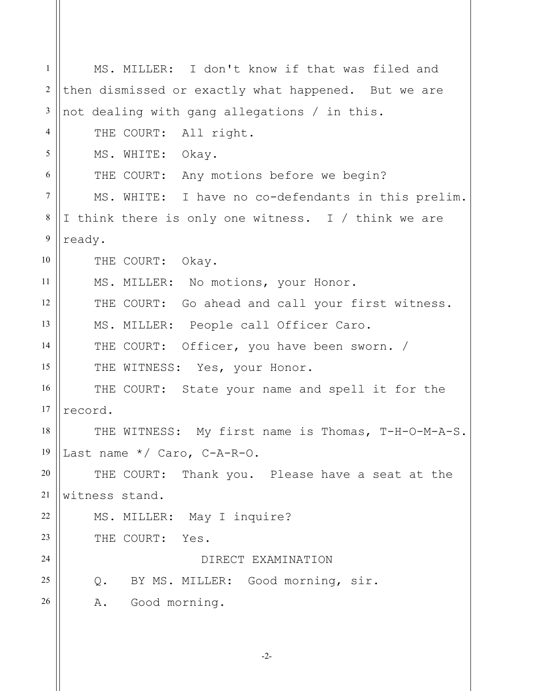1 2 3 4 5 6 7 8 9 10 11 12 13 14 15 16 17 18 19 20 21 22 23 24 25 26 MS. MILLER: I don't know if that was filed and then dismissed or exactly what happened. But we are not dealing with gang allegations / in this. THE COURT: All right. MS. WHITE: Okay. THE COURT: Any motions before we begin? MS. WHITE: I have no co-defendants in this prelim. I think there is only one witness. I / think we are ready. THE COURT: Okay. MS. MILLER: No motions, your Honor. THE COURT: Go ahead and call your first witness. MS. MILLER: People call Officer Caro. THE COURT: Officer, you have been sworn. / THE WITNESS: Yes, your Honor. THE COURT: State your name and spell it for the record. THE WITNESS: My first name is Thomas, T-H-O-M-A-S. Last name \*/ Caro, C-A-R-O. THE COURT: Thank you. Please have a seat at the witness stand. MS. MILLER: May I inquire? THE COURT: Yes. DIRECT EXAMINATION Q. BY MS. MILLER: Good morning, sir. A. Good morning.

-2-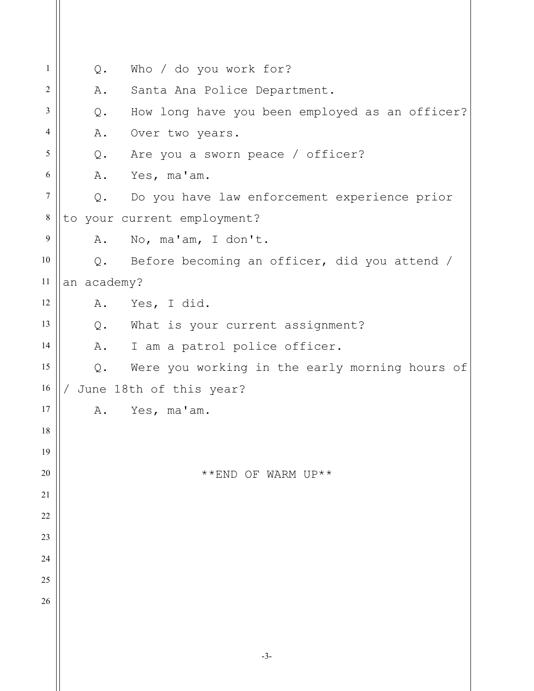| 1              | Q.          | Who / do you work for?                          |
|----------------|-------------|-------------------------------------------------|
| 2              | Α.          | Santa Ana Police Department.                    |
| 3              | Q.          | How long have you been employed as an officer?  |
| $\overline{4}$ | Α.          | Over two years.                                 |
| 5              |             | Q. Are you a sworn peace / officer?             |
| 6              | A.          | Yes, ma'am.                                     |
| $\overline{7}$ | Q.          | Do you have law enforcement experience prior    |
| $\,8\,$        |             | to your current employment?                     |
| 9              | Α.          | No, ma'am, I don't.                             |
| 10             |             | Q. Before becoming an officer, did you attend / |
| 11             | an academy? |                                                 |
| 12             | Α.          | Yes, I did.                                     |
| 13             |             | Q. What is your current assignment?             |
| 14             | Α.          | I am a patrol police officer.                   |
| 15             | $Q$ .       | Were you working in the early morning hours of  |
| 16             |             | June 18th of this year?                         |
| 17             | Α.          | Yes, ma'am.                                     |
| 18             |             |                                                 |
| 19             |             |                                                 |
| 20             |             | **END OF WARM UP**                              |
| 21             |             |                                                 |
| 22             |             |                                                 |
| 23             |             |                                                 |
| 24             |             |                                                 |
| 25             |             |                                                 |
| 26             |             |                                                 |
|                |             |                                                 |
|                |             |                                                 |

-3-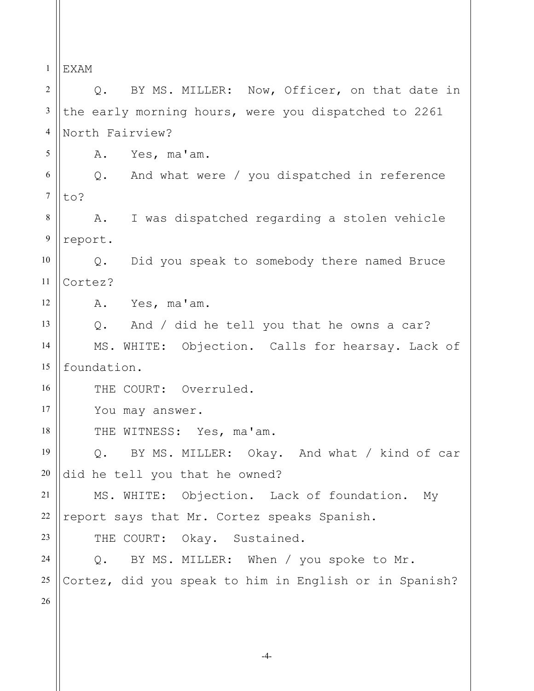1 2 3 4 5 6 7 8 9 10 11 12 13 14 15 16 17 18 19 20 21 22 23 24 25 26 EXAM Q. BY MS. MILLER: Now, Officer, on that date in the early morning hours, were you dispatched to 2261 North Fairview? A. Yes, ma'am. Q. And what were / you dispatched in reference to? A. I was dispatched regarding a stolen vehicle report. Q. Did you speak to somebody there named Bruce Cortez? A. Yes, ma'am. Q. And / did he tell you that he owns a car? MS. WHITE: Objection. Calls for hearsay. Lack of foundation. THE COURT: Overruled. You may answer. THE WITNESS: Yes, ma'am. Q. BY MS. MILLER: Okay. And what / kind of car did he tell you that he owned? MS. WHITE: Objection. Lack of foundation. My report says that Mr. Cortez speaks Spanish. THE COURT: Okay. Sustained. Q. BY MS. MILLER: When / you spoke to Mr. Cortez, did you speak to him in English or in Spanish?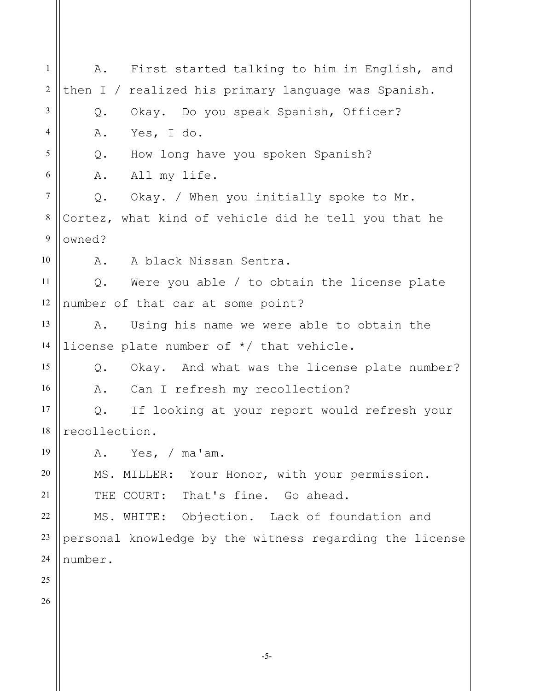1 2 3 4 5 6 7 8 9 10 11 12 13 14 15 16 17 18 19 20 21 22 23 24 25 26 A. First started talking to him in English, and then I / realized his primary language was Spanish. Q. Okay. Do you speak Spanish, Officer? A. Yes, I do. Q. How long have you spoken Spanish? A. All my life. Q. Okay. / When you initially spoke to Mr. Cortez, what kind of vehicle did he tell you that he owned? A. A black Nissan Sentra. Q. Were you able / to obtain the license plate number of that car at some point? A. Using his name we were able to obtain the license plate number of \*/ that vehicle. Q. Okay. And what was the license plate number? A. Can I refresh my recollection? Q. If looking at your report would refresh your recollection. A. Yes, / ma'am. MS. MILLER: Your Honor, with your permission. THE COURT: That's fine. Go ahead. MS. WHITE: Objection. Lack of foundation and personal knowledge by the witness regarding the license number.

-5-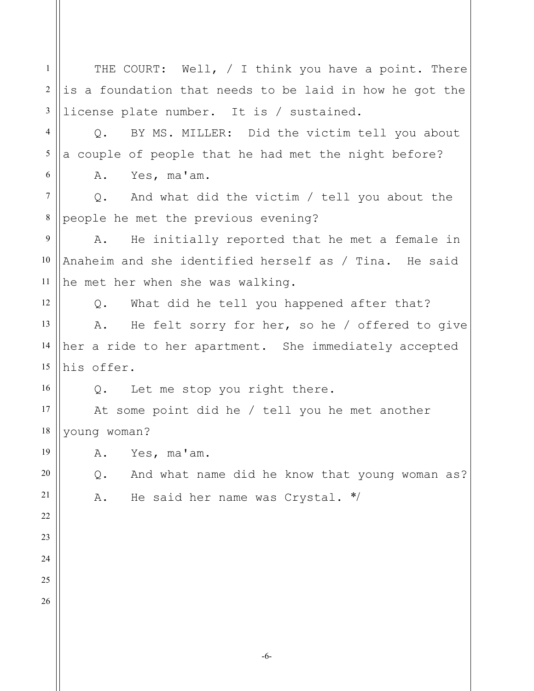1 2 3 4 5 6 7 8 9 10 11 12 13 14 15 16 17 18 19 20 21 22 23 24 25 26 THE COURT: Well, / I think you have a point. There is a foundation that needs to be laid in how he got the license plate number. It is / sustained. Q. BY MS. MILLER: Did the victim tell you about a couple of people that he had met the night before? A. Yes, ma'am. Q. And what did the victim / tell you about the people he met the previous evening? A. He initially reported that he met a female in Anaheim and she identified herself as / Tina. He said he met her when she was walking. Q. What did he tell you happened after that? A. He felt sorry for her, so he / offered to give her a ride to her apartment. She immediately accepted his offer. Q. Let me stop you right there. At some point did he / tell you he met another young woman? A. Yes, ma'am. Q. And what name did he know that young woman as? A. He said her name was Crystal. \*/

-6-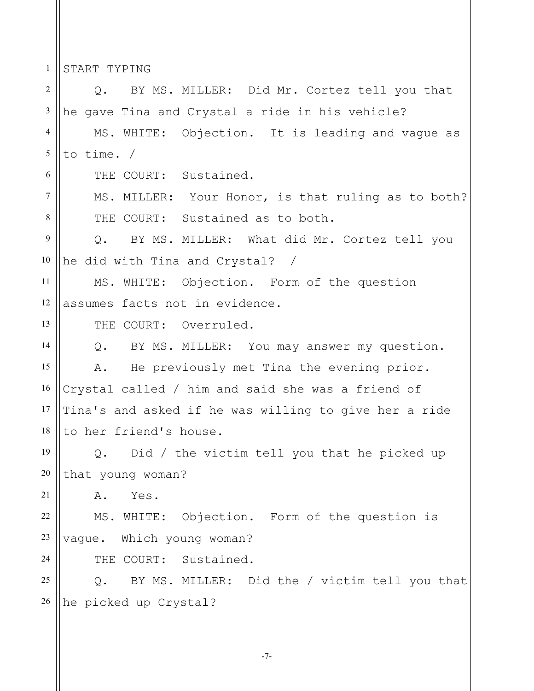1 START TYPING

2 3 4 5 6 7 8 9 10 11 12 13 14 15 16 17 18 19 20 21 22 23 24 25 26 Q. BY MS. MILLER: Did Mr. Cortez tell you that he gave Tina and Crystal a ride in his vehicle? MS. WHITE: Objection. It is leading and vague as to time. / THE COURT: Sustained. MS. MILLER: Your Honor, is that ruling as to both? THE COURT: Sustained as to both. Q. BY MS. MILLER: What did Mr. Cortez tell you he did with Tina and Crystal? / MS. WHITE: Objection. Form of the question assumes facts not in evidence. THE COURT: Overruled. Q. BY MS. MILLER: You may answer my question. A. He previously met Tina the evening prior. Crystal called / him and said she was a friend of Tina's and asked if he was willing to give her a ride to her friend's house. Q. Did / the victim tell you that he picked up that young woman? A. Yes. MS. WHITE: Objection. Form of the question is vague. Which young woman? THE COURT: Sustained. Q. BY MS. MILLER: Did the / victim tell you that he picked up Crystal?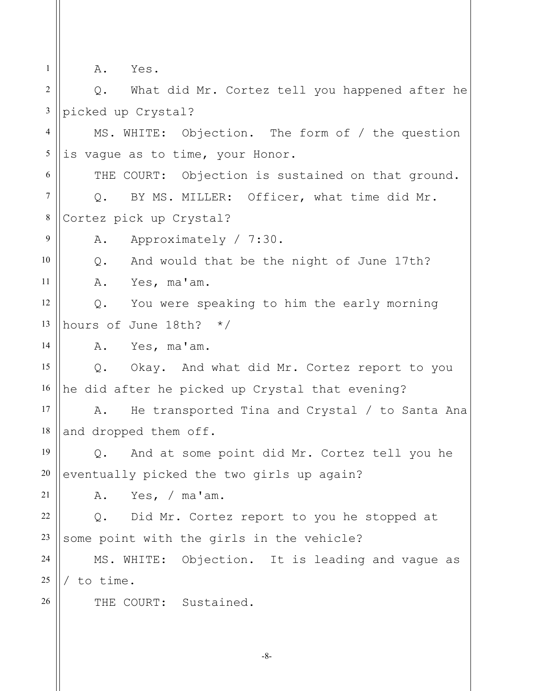1

9

14

21

26

A. Yes.

2 3 Q. What did Mr. Cortez tell you happened after he picked up Crystal?

4 5 MS. WHITE: Objection. The form of / the question is vague as to time, your Honor.

6 7 8 THE COURT: Objection is sustained on that ground. Q. BY MS. MILLER: Officer, what time did Mr. Cortez pick up Crystal?

A. Approximately / 7:30.

10 11 Q. And would that be the night of June 17th? A. Yes, ma'am.

12 13 Q. You were speaking to him the early morning hours of June 18th? \*/

A. Yes, ma'am.

15 16 Q. Okay. And what did Mr. Cortez report to you he did after he picked up Crystal that evening?

17 18 A. He transported Tina and Crystal / to Santa Ana and dropped them off.

19 20 Q. And at some point did Mr. Cortez tell you he eventually picked the two girls up again?

A. Yes, / ma'am.

22 23 Q. Did Mr. Cortez report to you he stopped at some point with the girls in the vehicle?

24 25 MS. WHITE: Objection. It is leading and vague as / to time.

THE COURT: Sustained.

-8-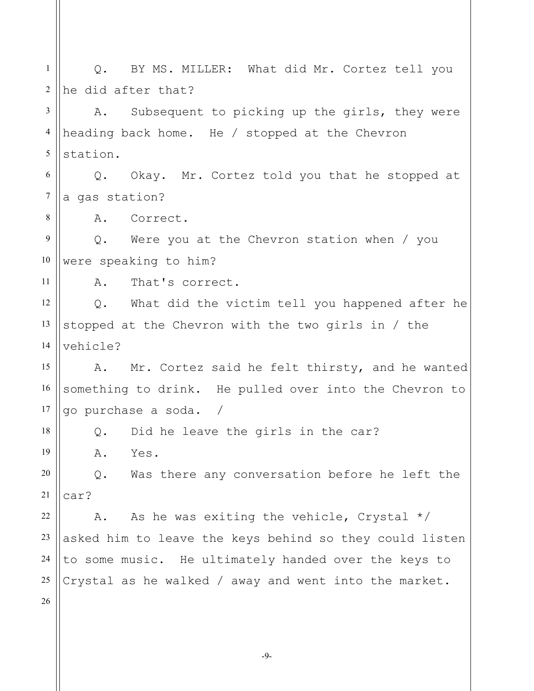1 2 3 4 5 6 7 8 9 10 11 12 13 14 15 16 17 18 19 20 21 22 23 24 25 26 Q. BY MS. MILLER: What did Mr. Cortez tell you he did after that? A. Subsequent to picking up the girls, they were heading back home. He / stopped at the Chevron station. Q. Okay. Mr. Cortez told you that he stopped at a gas station? A. Correct. Q. Were you at the Chevron station when / you were speaking to him? A. That's correct. Q. What did the victim tell you happened after he stopped at the Chevron with the two girls in / the vehicle? A. Mr. Cortez said he felt thirsty, and he wanted something to drink. He pulled over into the Chevron to go purchase a soda. / Q. Did he leave the girls in the car? A. Yes. Q. Was there any conversation before he left the car? A. As he was exiting the vehicle, Crystal  $*/$ asked him to leave the keys behind so they could listen to some music. He ultimately handed over the keys to Crystal as he walked / away and went into the market.

-9-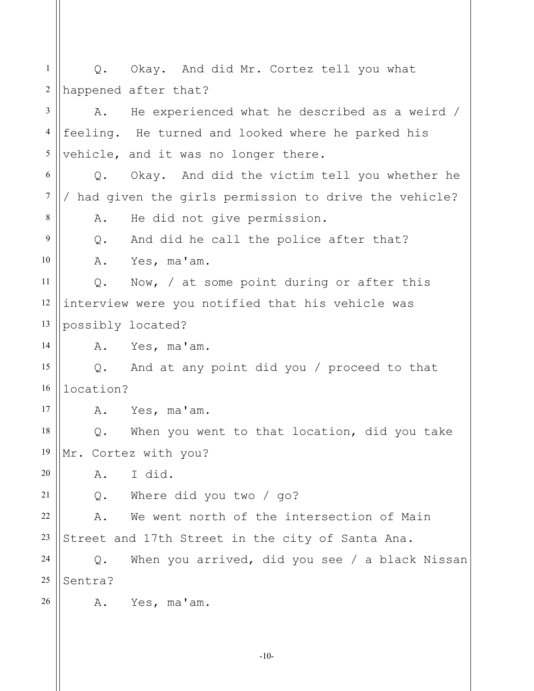1 2 3 4 5 6 7 8 9 10 11 12 13 14 15 16 17 18 19 20 21 22 23 24 25 26 Q. Okay. And did Mr. Cortez tell you what happened after that? A. He experienced what he described as a weird / feeling. He turned and looked where he parked his vehicle, and it was no longer there. Q. Okay. And did the victim tell you whether he / had given the girls permission to drive the vehicle? A. He did not give permission. Q. And did he call the police after that? A. Yes, ma'am. Q. Now, / at some point during or after this interview were you notified that his vehicle was possibly located? A. Yes, ma'am. Q. And at any point did you / proceed to that location? A. Yes, ma'am. Q. When you went to that location, did you take Mr. Cortez with you? A. I did. Q. Where did you two / go? A. We went north of the intersection of Main Street and 17th Street in the city of Santa Ana. Q. When you arrived, did you see / a black Nissan Sentra? A. Yes, ma'am.

-10-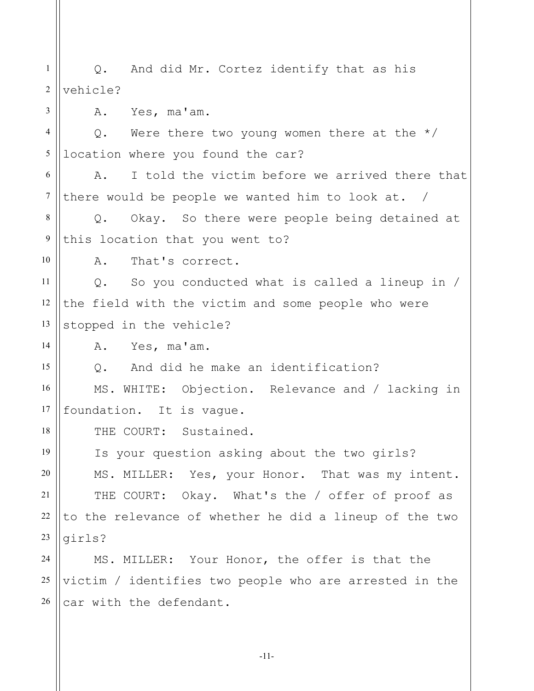1 2 3 4 5 6 7 8 9 10 11 12 13 14 15 16 17 18 19 20 21 22 23 24 25 26 Q. And did Mr. Cortez identify that as his vehicle? A. Yes, ma'am. Q. Were there two young women there at the  $*/$ location where you found the car? A. I told the victim before we arrived there that there would be people we wanted him to look at. / Q. Okay. So there were people being detained at this location that you went to? A. That's correct. Q. So you conducted what is called a lineup in / the field with the victim and some people who were stopped in the vehicle? A. Yes, ma'am. Q. And did he make an identification? MS. WHITE: Objection. Relevance and / lacking in foundation. It is vague. THE COURT: Sustained. Is your question asking about the two girls? MS. MILLER: Yes, your Honor. That was my intent. THE COURT: Okay. What's the / offer of proof as to the relevance of whether he did a lineup of the two girls? MS. MILLER: Your Honor, the offer is that the victim / identifies two people who are arrested in the car with the defendant.

-11-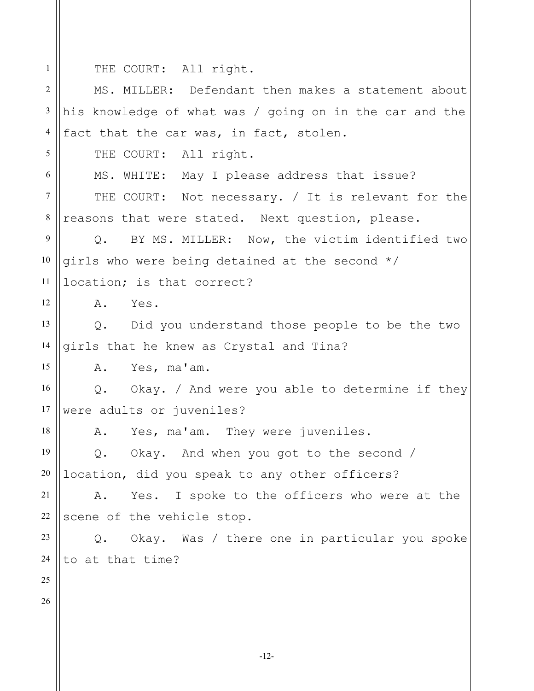THE COURT: All right.

1

| 2       | MS. MILLER: Defendant then makes a statement about      |
|---------|---------------------------------------------------------|
| 3       | his knowledge of what was / going on in the car and the |
| 4       | fact that the car was, in fact, stolen.                 |
| 5       | THE COURT: All right.                                   |
| 6       | MS. WHITE: May I please address that issue?             |
| $\tau$  | THE COURT: Not necessary. / It is relevant for the      |
| $\,8\,$ | reasons that were stated. Next question, please.        |
| 9       | Q. BY MS. MILLER: Now, the victim identified two        |
| 10      | girls who were being detained at the second */          |
| 11      | location; is that correct?                              |
| 12      | A. Yes.                                                 |
| 13      | Q. Did you understand those people to be the two        |
| 14      | girls that he knew as Crystal and Tina?                 |
| 15      | A. Yes, ma'am.                                          |
| 16      | Q. Okay. / And were you able to determine if they       |
| 17      | were adults or juveniles?                               |
| 18      | A. Yes, ma'am. They were juveniles.                     |
| 19      | Q. Okay. And when you got to the second /               |
| 20      | location, did you speak to any other officers?          |
| 21      | Yes. I spoke to the officers who were at the<br>Α.      |
| 22      | scene of the vehicle stop.                              |
| 23      | Okay. Was / there one in particular you spoke<br>Q.     |
| 24      | to at that time?                                        |
| 25      |                                                         |
| 26      |                                                         |
|         |                                                         |
|         | $-12-$                                                  |
|         |                                                         |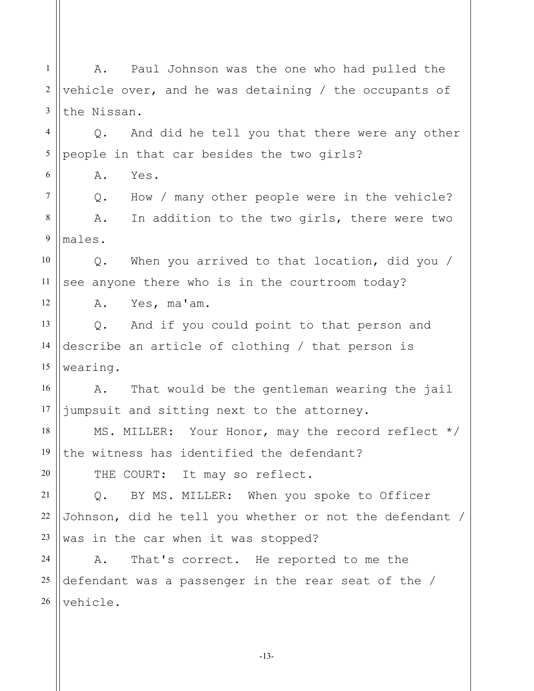1 2 3 4 5 6 7 8 9 10 11 12 13 14 15 16 17 18 19 20 21 22 23 24 25 26 A. Paul Johnson was the one who had pulled the vehicle over, and he was detaining / the occupants of the Nissan. Q. And did he tell you that there were any other people in that car besides the two girls? A. Yes. Q. How / many other people were in the vehicle? A. In addition to the two girls, there were two males. Q. When you arrived to that location, did you / see anyone there who is in the courtroom today? A. Yes, ma'am. Q. And if you could point to that person and describe an article of clothing / that person is wearing. A. That would be the gentleman wearing the jail jumpsuit and sitting next to the attorney. MS. MILLER: Your Honor, may the record reflect \*/ the witness has identified the defendant? THE COURT: It may so reflect. Q. BY MS. MILLER: When you spoke to Officer Johnson, did he tell you whether or not the defendant / was in the car when it was stopped? A. That's correct. He reported to me the defendant was a passenger in the rear seat of the / vehicle.

-13-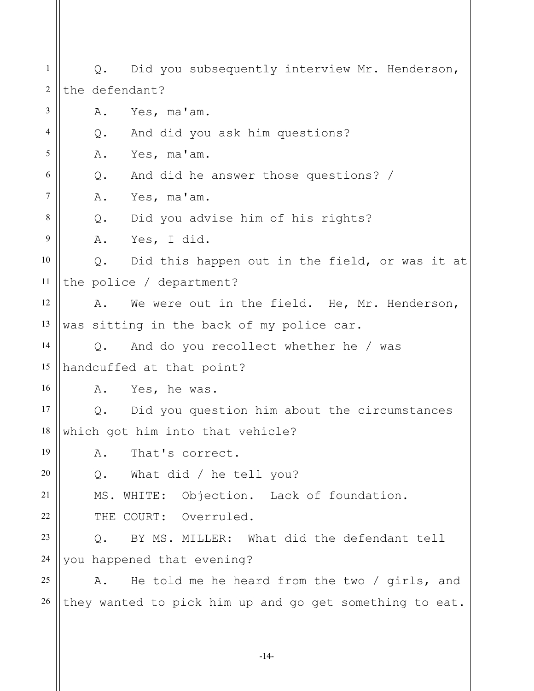1 2 3 4 5 6 7 8 9 10 11 12 13 14 15 16 17 18 19 20 21 22 23 24 25 26 Q. Did you subsequently interview Mr. Henderson, the defendant? A. Yes, ma'am. Q. And did you ask him questions? A. Yes, ma'am. Q. And did he answer those questions? / A. Yes, ma'am. Q. Did you advise him of his rights? A. Yes, I did. Q. Did this happen out in the field, or was it at the police / department? A. We were out in the field. He, Mr. Henderson, was sitting in the back of my police car. Q. And do you recollect whether he / was handcuffed at that point? A. Yes, he was. Q. Did you question him about the circumstances which got him into that vehicle? A. That's correct. Q. What did / he tell you? MS. WHITE: Objection. Lack of foundation. THE COURT: Overruled. Q. BY MS. MILLER: What did the defendant tell you happened that evening? A. He told me he heard from the two / girls, and they wanted to pick him up and go get something to eat.

-14-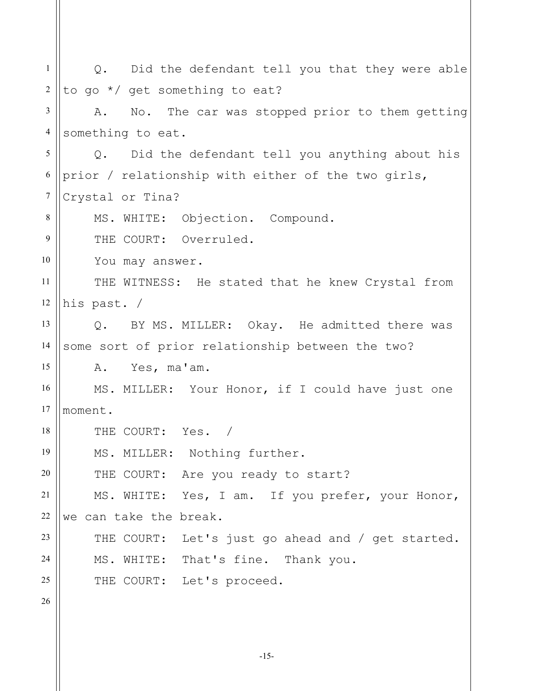| $\mathbf{1}$   | Q. Did the defendant tell you that they were able      |
|----------------|--------------------------------------------------------|
| $\overline{2}$ | to go */ get something to eat?                         |
| 3              | No. The car was stopped prior to them getting<br>Α.    |
| $\overline{4}$ | something to eat.                                      |
| 5              | Did the defendant tell you anything about his<br>$Q$ . |
| 6              | prior / relationship with either of the two girls,     |
| $\tau$         | Crystal or Tina?                                       |
| 8              | MS. WHITE: Objection. Compound.                        |
| 9              | THE COURT: Overruled.                                  |
| 10             | You may answer.                                        |
| 11             | THE WITNESS: He stated that he knew Crystal from       |
| 12             | his past. /                                            |
| 13             | Q. BY MS. MILLER: Okay. He admitted there was          |
| 14             | some sort of prior relationship between the two?       |
| 15             | Yes, ma'am.<br>Α.                                      |
| 16             | MS. MILLER: Your Honor, if I could have just one       |
| 17             | moment.                                                |
| 18             | THE COURT: Yes. /                                      |
| 19             | MS. MILLER: Nothing further.                           |
| 20             | THE COURT: Are you ready to start?                     |
| 21             | MS. WHITE: Yes, I am. If you prefer, your Honor,       |
| 22             | we can take the break.                                 |
| 23             | THE COURT: Let's just go ahead and / get started.      |
| 24             | MS. WHITE: That's fine. Thank you.                     |
| 25             | THE COURT: Let's proceed.                              |
| 26             |                                                        |
|                |                                                        |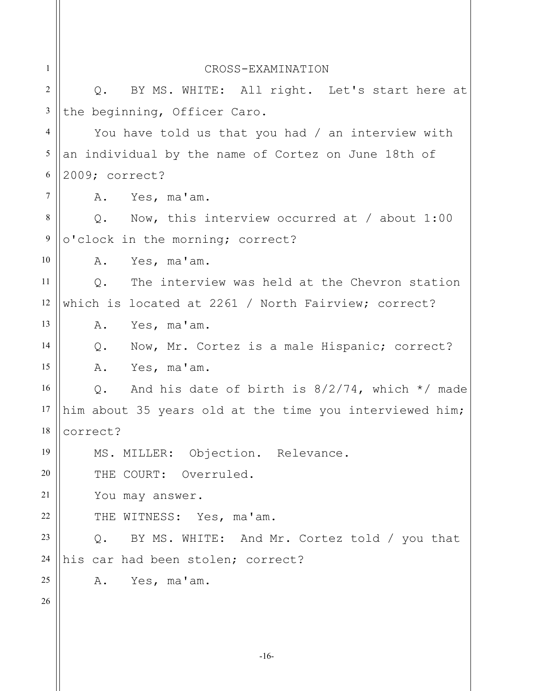| $\mathbf{1}$    | CROSS-EXAMINATION                                         |  |
|-----------------|-----------------------------------------------------------|--|
| $\overline{2}$  | BY MS. WHITE: All right. Let's start here at<br>Q.        |  |
| $\mathfrak{Z}$  | the beginning, Officer Caro.                              |  |
| $\overline{4}$  | You have told us that you had / an interview with         |  |
| 5               | an individual by the name of Cortez on June 18th of       |  |
| 6               | 2009; correct?                                            |  |
| $7\phantom{.0}$ | A. Yes, ma'am.                                            |  |
| 8               | Q. Now, this interview occurred at / about $1:00$         |  |
| $\overline{9}$  | o'clock in the morning; correct?                          |  |
| 10              | A. Yes, ma'am.                                            |  |
| 11              | Q. The interview was held at the Chevron station          |  |
| 12              | which is located at 2261 / North Fairview; correct?       |  |
| 13              | A. Yes, ma'am.                                            |  |
| 14              | Q. Now, Mr. Cortez is a male Hispanic; correct?           |  |
| 15              | A. Yes, ma'am.                                            |  |
| 16              | And his date of birth is $8/2/74$ , which $*/$ made<br>Q. |  |
| 17              | him about 35 years old at the time you interviewed him;   |  |
|                 | $18$   correct?                                           |  |
| 19              | MS. MILLER: Objection. Relevance.                         |  |
| 20              | THE COURT: Overruled.                                     |  |
| 21              | You may answer.                                           |  |
| 22              | THE WITNESS: Yes, ma'am.                                  |  |
| 23              | BY MS. WHITE: And Mr. Cortez told / you that<br>$Q$ .     |  |
| 24              | his car had been stolen; correct?                         |  |
| 25              | A. Yes, ma'am.                                            |  |
| 26              |                                                           |  |
|                 |                                                           |  |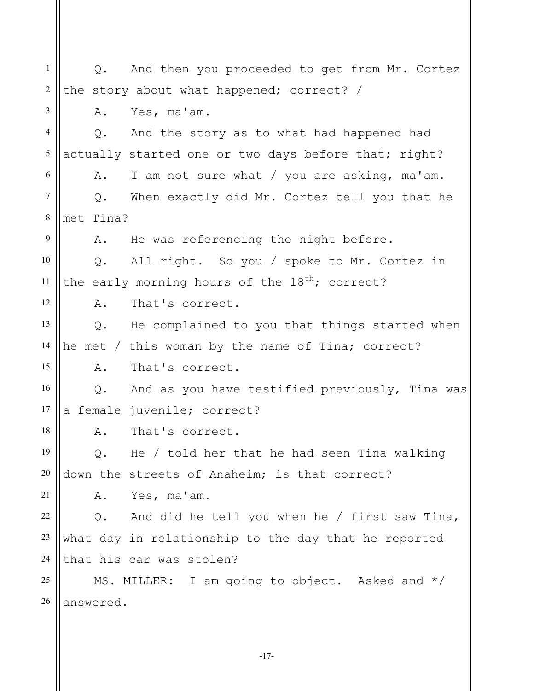1 2 3 4 5 6 7 8 9 10 11 12 13 14 15 16 17 18 19 20 21 22 23 24 25 26 Q. And then you proceeded to get from Mr. Cortez the story about what happened; correct? / A. Yes, ma'am. Q. And the story as to what had happened had actually started one or two days before that; right? A. I am not sure what / you are asking, ma'am. Q. When exactly did Mr. Cortez tell you that he met Tina? A. He was referencing the night before. Q. All right. So you / spoke to Mr. Cortez in the early morning hours of the  $18^{th}$ ; correct? A. That's correct. Q. He complained to you that things started when he met / this woman by the name of Tina; correct? A. That's correct. Q. And as you have testified previously, Tina was a female juvenile; correct? A. That's correct. Q. He / told her that he had seen Tina walking down the streets of Anaheim; is that correct? A. Yes, ma'am. Q. And did he tell you when he / first saw Tina, what day in relationship to the day that he reported that his car was stolen? MS. MILLER: I am going to object. Asked and \*/ answered.

-17-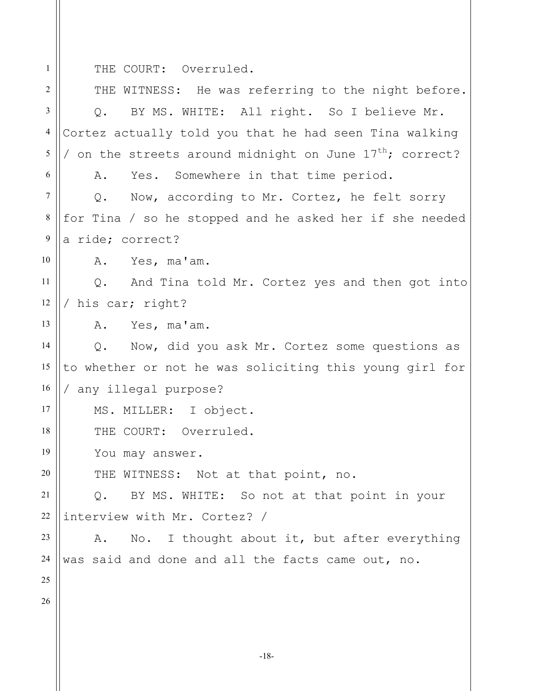1

THE COURT: Overruled.

2 3 4 5 6 7 8 9 10 11 12 13 14 15 16 17 18 19 20 21 22 23 24 25 26 THE WITNESS: He was referring to the night before. Q. BY MS. WHITE: All right. So I believe Mr. Cortez actually told you that he had seen Tina walking / on the streets around midnight on June  $17^{\text{th}}$ ; correct? A. Yes. Somewhere in that time period. Q. Now, according to Mr. Cortez, he felt sorry for Tina / so he stopped and he asked her if she needed a ride; correct? A. Yes, ma'am. Q. And Tina told Mr. Cortez yes and then got into / his car; right? A. Yes, ma'am. Q. Now, did you ask Mr. Cortez some questions as to whether or not he was soliciting this young girl for / any illegal purpose? MS. MILLER: I object. THE COURT: Overruled. You may answer. THE WITNESS: Not at that point, no. Q. BY MS. WHITE: So not at that point in your interview with Mr. Cortez? / A. No. I thought about it, but after everything was said and done and all the facts came out, no.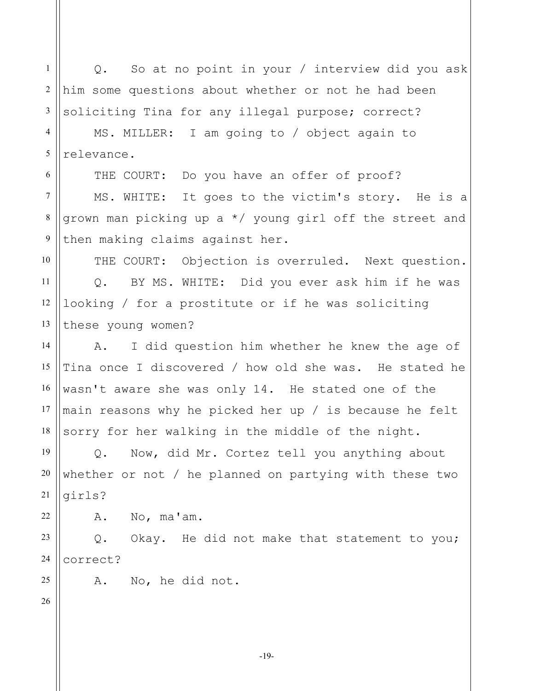1 2 3 4 5 6 7 8 9 10 11 12 13 14 15 16 Q. So at no point in your / interview did you ask him some questions about whether or not he had been soliciting Tina for any illegal purpose; correct? MS. MILLER: I am going to / object again to relevance. THE COURT: Do you have an offer of proof? MS. WHITE: It goes to the victim's story. He is a grown man picking up a \*/ young girl off the street and then making claims against her. THE COURT: Objection is overruled. Next question. Q. BY MS. WHITE: Did you ever ask him if he was looking / for a prostitute or if he was soliciting these young women? A. I did question him whether he knew the age of Tina once I discovered / how old she was. He stated he wasn't aware she was only 14. He stated one of the

17 18 main reasons why he picked her up / is because he felt sorry for her walking in the middle of the night.

19 20 21 Q. Now, did Mr. Cortez tell you anything about whether or not / he planned on partying with these two girls?

A. No, ma'am.

23 24 Q. Okay. He did not make that statement to you; correct?

A. No, he did not.

26

25

22